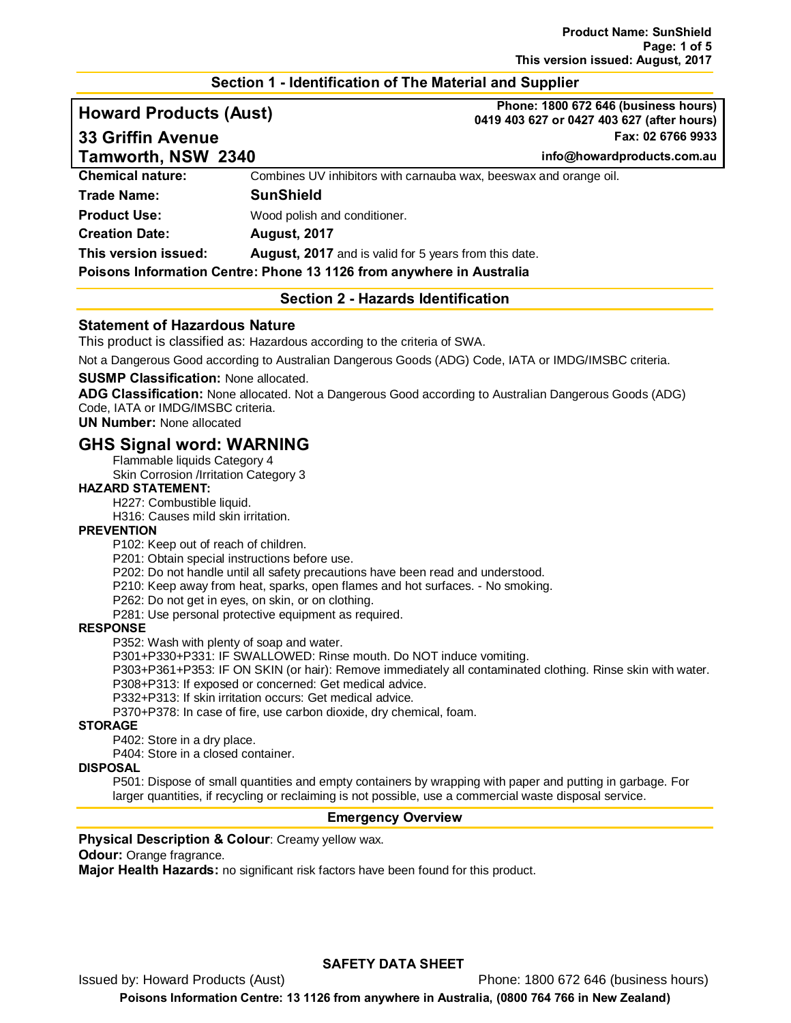### **Section 1 - Identification of The Material and Supplier**

**Howard Products (Aust) Phone: 1800 672 646 (business hours) 0419 403 627 or 0427 403 627 (after hours) 33 Griffin Avenue Fax: 02 6766 9933**

**Tamworth, NSW 2340 info@howardproducts.com.au**

**Chemical nature:** Combines UV inhibitors with carnauba wax, beeswax and orange oil. **Trade Name: SunShield Product Use:** Wood polish and conditioner. **Creation Date: August, 2017 This version issued: August, 2017** and is valid for 5 years from this date. **Poisons Information Centre: Phone 13 1126 from anywhere in Australia**

# **Section 2 - Hazards Identification**

# **Statement of Hazardous Nature**

This product is classified as: Hazardous according to the criteria of SWA.

Not a Dangerous Good according to Australian Dangerous Goods (ADG) Code, IATA or IMDG/IMSBC criteria.

#### **SUSMP Classification:** None allocated.

**ADG Classification:** None allocated. Not a Dangerous Good according to Australian Dangerous Goods (ADG) Code, IATA or IMDG/IMSBC criteria.

**UN Number:** None allocated

# **GHS Signal word: WARNING**

Flammable liquids Category 4

Skin Corrosion /Irritation Category 3

#### **HAZARD STATEMENT:**

H227: Combustible liquid.

H316: Causes mild skin irritation.

#### **PREVENTION**

P102: Keep out of reach of children.

P201: Obtain special instructions before use.

P202: Do not handle until all safety precautions have been read and understood.

- P210: Keep away from heat, sparks, open flames and hot surfaces. No smoking.
- P262: Do not get in eyes, on skin, or on clothing.

P281: Use personal protective equipment as required.

#### **RESPONSE**

P352: Wash with plenty of soap and water.

P301+P330+P331: IF SWALLOWED: Rinse mouth. Do NOT induce vomiting.

P303+P361+P353: IF ON SKIN (or hair): Remove immediately all contaminated clothing. Rinse skin with water.

P308+P313: If exposed or concerned: Get medical advice.

P332+P313: If skin irritation occurs: Get medical advice.

P370+P378: In case of fire, use carbon dioxide, dry chemical, foam.

**STORAGE**

P402: Store in a dry place.

P404: Store in a closed container.

#### **DISPOSAL**

P501: Dispose of small quantities and empty containers by wrapping with paper and putting in garbage. For larger quantities, if recycling or reclaiming is not possible, use a commercial waste disposal service.

#### **Emergency Overview**

#### **Physical Description & Colour**: Creamy yellow wax.

**Odour:** Orange fragrance.

**Major Health Hazards:** no significant risk factors have been found for this product.

# **SAFETY DATA SHEET**

Issued by: Howard Products (Aust) Phone: 1800 672 646 (business hours)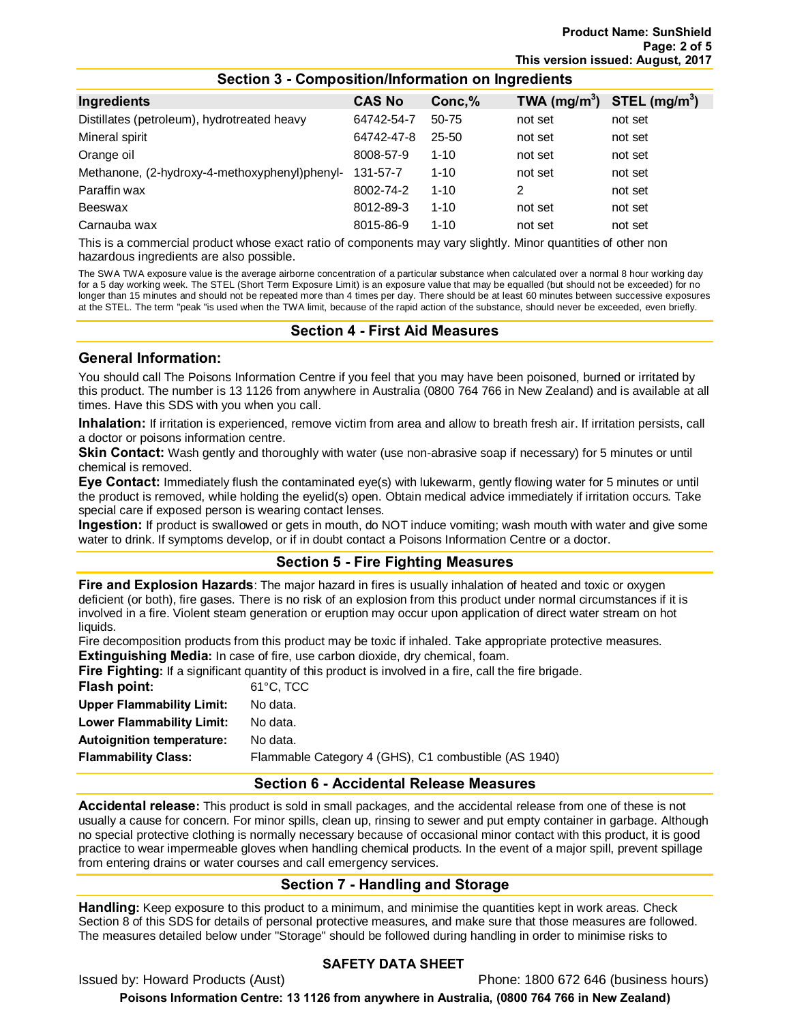| Ingredients                                   | <b>CAS No</b> | Conc,%    | TWA $(mg/m^3)$ STEL $(mg/m^3)$ |         |
|-----------------------------------------------|---------------|-----------|--------------------------------|---------|
| Distillates (petroleum), hydrotreated heavy   | 64742-54-7    | 50-75     | not set                        | not set |
| Mineral spirit                                | 64742-47-8    | $25 - 50$ | not set                        | not set |
| Orange oil                                    | 8008-57-9     | $1 - 10$  | not set                        | not set |
| Methanone, (2-hydroxy-4-methoxyphenyl)phenyl- | 131-57-7      | $1 - 10$  | not set                        | not set |
| Paraffin wax                                  | 8002-74-2     | $1 - 10$  | 2                              | not set |
| Beeswax                                       | 8012-89-3     | $1 - 10$  | not set                        | not set |
| Carnauba wax                                  | 8015-86-9     | $1 - 10$  | not set                        | not set |

This is a commercial product whose exact ratio of components may vary slightly. Minor quantities of other non hazardous ingredients are also possible.

The SWA TWA exposure value is the average airborne concentration of a particular substance when calculated over a normal 8 hour working day for a 5 day working week. The STEL (Short Term Exposure Limit) is an exposure value that may be equalled (but should not be exceeded) for no longer than 15 minutes and should not be repeated more than 4 times per day. There should be at least 60 minutes between successive exposures at the STEL. The term "peak "is used when the TWA limit, because of the rapid action of the substance, should never be exceeded, even briefly.

#### **Section 4 - First Aid Measures**

#### **General Information:**

You should call The Poisons Information Centre if you feel that you may have been poisoned, burned or irritated by this product. The number is 13 1126 from anywhere in Australia (0800 764 766 in New Zealand) and is available at all times. Have this SDS with you when you call.

**Inhalation:** If irritation is experienced, remove victim from area and allow to breath fresh air. If irritation persists, call a doctor or poisons information centre.

**Skin Contact:** Wash gently and thoroughly with water (use non-abrasive soap if necessary) for 5 minutes or until chemical is removed.

**Eye Contact:** Immediately flush the contaminated eye(s) with lukewarm, gently flowing water for 5 minutes or until the product is removed, while holding the eyelid(s) open. Obtain medical advice immediately if irritation occurs. Take special care if exposed person is wearing contact lenses.

**Ingestion:** If product is swallowed or gets in mouth, do NOT induce vomiting; wash mouth with water and give some water to drink. If symptoms develop, or if in doubt contact a Poisons Information Centre or a doctor.

# **Section 5 - Fire Fighting Measures**

**Fire and Explosion Hazards**: The major hazard in fires is usually inhalation of heated and toxic or oxygen deficient (or both), fire gases. There is no risk of an explosion from this product under normal circumstances if it is involved in a fire. Violent steam generation or eruption may occur upon application of direct water stream on hot liquids.

Fire decomposition products from this product may be toxic if inhaled. Take appropriate protective measures.

**Extinguishing Media:** In case of fire, use carbon dioxide, dry chemical, foam.

**Fire Fighting:** If a significant quantity of this product is involved in a fire, call the fire brigade.

| Flash point:                     | $61^{\circ}$ C. TCC                                  |
|----------------------------------|------------------------------------------------------|
| <b>Upper Flammability Limit:</b> | No data.                                             |
| Lower Flammability Limit:        | No data.                                             |
| <b>Autoignition temperature:</b> | No data.                                             |
| Flammability Class:              | Flammable Category 4 (GHS), C1 combustible (AS 1940) |
|                                  |                                                      |

#### **Section 6 - Accidental Release Measures**

**Accidental release:** This product is sold in small packages, and the accidental release from one of these is not usually a cause for concern. For minor spills, clean up, rinsing to sewer and put empty container in garbage. Although no special protective clothing is normally necessary because of occasional minor contact with this product, it is good practice to wear impermeable gloves when handling chemical products. In the event of a major spill, prevent spillage from entering drains or water courses and call emergency services.

# **Section 7 - Handling and Storage**

**Handling:** Keep exposure to this product to a minimum, and minimise the quantities kept in work areas. Check Section 8 of this SDS for details of personal protective measures, and make sure that those measures are followed. The measures detailed below under "Storage" should be followed during handling in order to minimise risks to

# **SAFETY DATA SHEET**

Issued by: Howard Products (Aust) Phone: 1800 672 646 (business hours)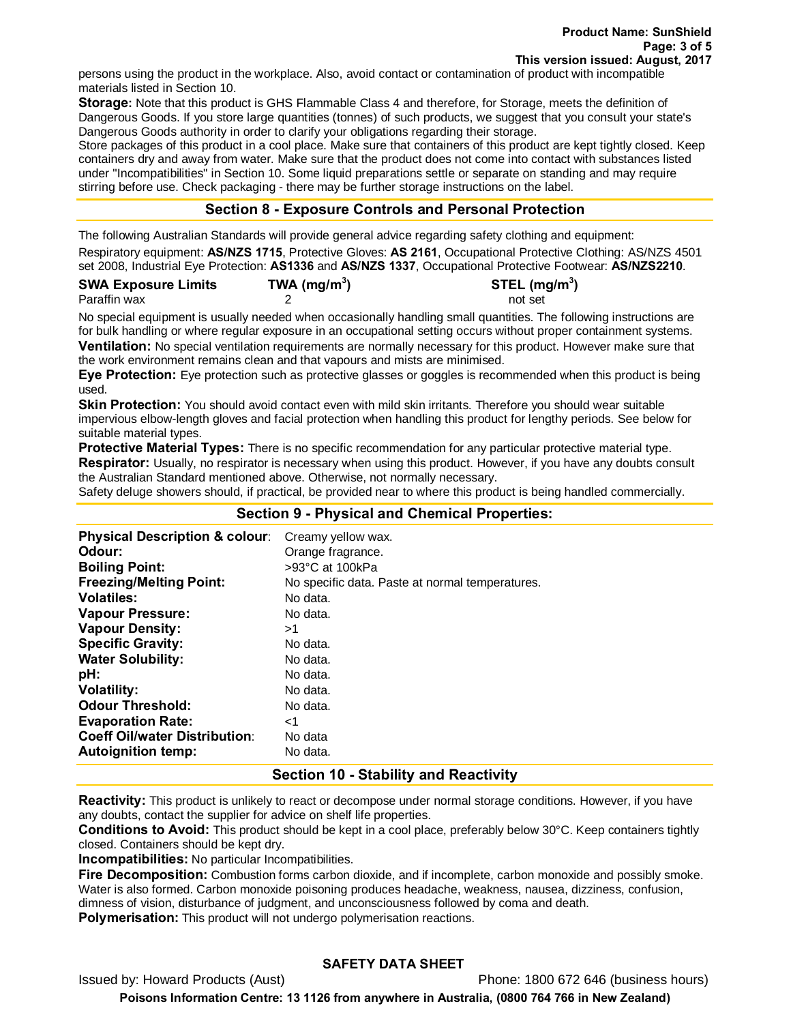persons using the product in the workplace. Also, avoid contact or contamination of product with incompatible materials listed in Section 10.

**Storage:** Note that this product is GHS Flammable Class 4 and therefore, for Storage, meets the definition of Dangerous Goods. If you store large quantities (tonnes) of such products, we suggest that you consult your state's Dangerous Goods authority in order to clarify your obligations regarding their storage.

Store packages of this product in a cool place. Make sure that containers of this product are kept tightly closed. Keep containers dry and away from water. Make sure that the product does not come into contact with substances listed under "Incompatibilities" in Section 10. Some liquid preparations settle or separate on standing and may require stirring before use. Check packaging - there may be further storage instructions on the label.

# **Section 8 - Exposure Controls and Personal Protection**

The following Australian Standards will provide general advice regarding safety clothing and equipment: Respiratory equipment: **AS/NZS 1715**, Protective Gloves: **AS 2161**, Occupational Protective Clothing: AS/NZS 4501 set 2008, Industrial Eye Protection: **AS1336** and **AS/NZS 1337**, Occupational Protective Footwear: **AS/NZS2210**.

| <b>SWA Exposure Limits</b> | TWA ( $mg/m3$ ) | STEL $(mg/m3)$ |
|----------------------------|-----------------|----------------|
| Paraffin wax               |                 | not set        |

No special equipment is usually needed when occasionally handling small quantities. The following instructions are for bulk handling or where regular exposure in an occupational setting occurs without proper containment systems. **Ventilation:** No special ventilation requirements are normally necessary for this product. However make sure that the work environment remains clean and that vapours and mists are minimised.

**Eye Protection:** Eye protection such as protective glasses or goggles is recommended when this product is being used.

**Skin Protection:** You should avoid contact even with mild skin irritants. Therefore you should wear suitable impervious elbow-length gloves and facial protection when handling this product for lengthy periods. See below for suitable material types.

**Protective Material Types:** There is no specific recommendation for any particular protective material type. **Respirator:** Usually, no respirator is necessary when using this product. However, if you have any doubts consult the Australian Standard mentioned above. Otherwise, not normally necessary.

Safety deluge showers should, if practical, be provided near to where this product is being handled commercially.

| <b>Section 9 - Physical and Chemical Properties:</b> |                                                 |  |
|------------------------------------------------------|-------------------------------------------------|--|
| <b>Physical Description &amp; colour:</b>            | Creamy yellow wax.                              |  |
| Odour:                                               | Orange fragrance.                               |  |
| <b>Boiling Point:</b>                                | >93°C at 100kPa                                 |  |
| <b>Freezing/Melting Point:</b>                       | No specific data. Paste at normal temperatures. |  |
| <b>Volatiles:</b>                                    | No data.                                        |  |
| <b>Vapour Pressure:</b>                              | No data.                                        |  |
| <b>Vapour Density:</b>                               | >1                                              |  |
| <b>Specific Gravity:</b>                             | No data.                                        |  |
| <b>Water Solubility:</b>                             | No data.                                        |  |
| pH:                                                  | No data.                                        |  |
| <b>Volatility:</b>                                   | No data.                                        |  |
| <b>Odour Threshold:</b>                              | No data.                                        |  |
| <b>Evaporation Rate:</b>                             | ا>                                              |  |
| <b>Coeff Oil/water Distribution:</b>                 | No data                                         |  |
| <b>Autoignition temp:</b>                            | No data.                                        |  |

# **Section 10 - Stability and Reactivity**

**Reactivity:** This product is unlikely to react or decompose under normal storage conditions. However, if you have any doubts, contact the supplier for advice on shelf life properties.

**Conditions to Avoid:** This product should be kept in a cool place, preferably below 30°C. Keep containers tightly closed. Containers should be kept dry.

**Incompatibilities:** No particular Incompatibilities.

**Fire Decomposition:** Combustion forms carbon dioxide, and if incomplete, carbon monoxide and possibly smoke. Water is also formed. Carbon monoxide poisoning produces headache, weakness, nausea, dizziness, confusion, dimness of vision, disturbance of judgment, and unconsciousness followed by coma and death.

**Polymerisation:** This product will not undergo polymerisation reactions.

# **SAFETY DATA SHEET**

Issued by: Howard Products (Aust) Phone: 1800 672 646 (business hours)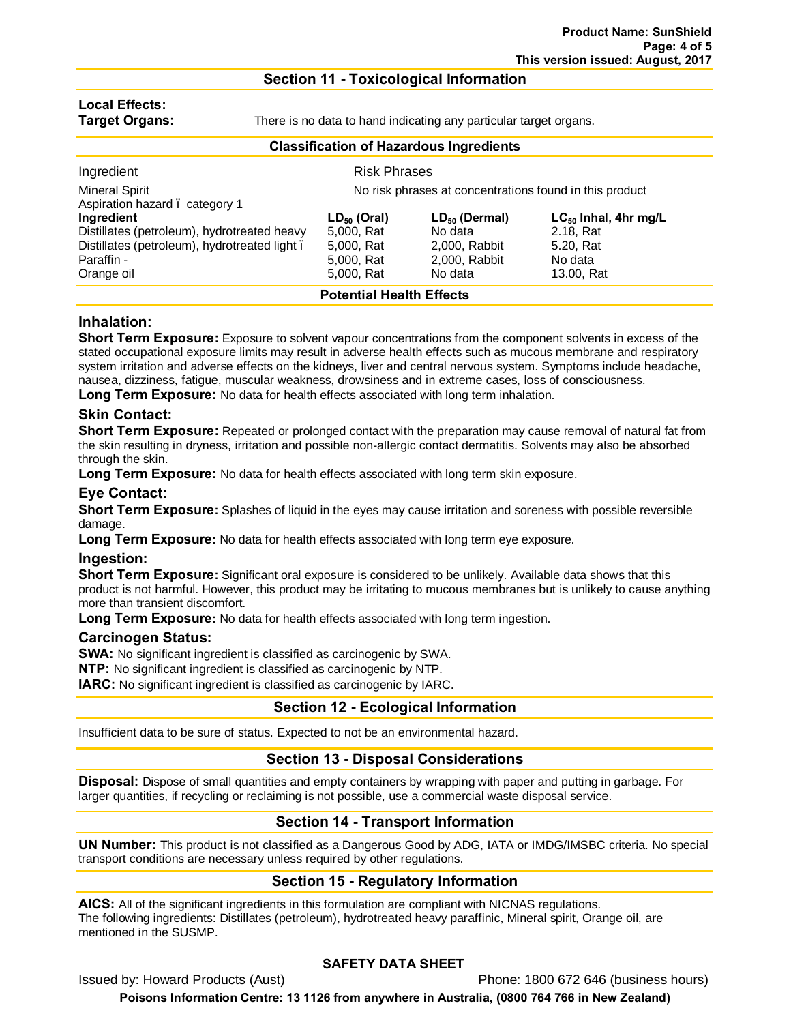#### **Section 11 - Toxicological Information**

# **Local Effects:**

**Target Organs:** There is no data to hand indicating any particular target organs.

| <b>Classification of Hazardous Ingredients</b>                                                                                        |                                                                          |                                                                            |                                                                              |  |
|---------------------------------------------------------------------------------------------------------------------------------------|--------------------------------------------------------------------------|----------------------------------------------------------------------------|------------------------------------------------------------------------------|--|
| Ingredient                                                                                                                            | <b>Risk Phrases</b>                                                      |                                                                            |                                                                              |  |
| <b>Mineral Spirit</b><br>No risk phrases at concentrations found in this product<br>Aspiration hazard. category 1                     |                                                                          |                                                                            |                                                                              |  |
| Ingredient<br>Distillates (petroleum), hydrotreated heavy<br>Distillates (petroleum), hydrotreated light.<br>Paraffin -<br>Orange oil | $LD_{50}$ (Oral)<br>5,000, Rat<br>5,000, Rat<br>5,000, Rat<br>5,000, Rat | $LD_{50}$ (Dermal)<br>No data<br>2,000, Rabbit<br>2,000, Rabbit<br>No data | $LC_{50}$ Inhal, 4hr mg/L<br>2.18, Rat<br>5.20, Rat<br>No data<br>13.00, Rat |  |
| <b>Potential Health Effects</b>                                                                                                       |                                                                          |                                                                            |                                                                              |  |

### **Inhalation:**

**Short Term Exposure:** Exposure to solvent vapour concentrations from the component solvents in excess of the stated occupational exposure limits may result in adverse health effects such as mucous membrane and respiratory system irritation and adverse effects on the kidneys, liver and central nervous system. Symptoms include headache, nausea, dizziness, fatigue, muscular weakness, drowsiness and in extreme cases, loss of consciousness. **Long Term Exposure:** No data for health effects associated with long term inhalation.

### **Skin Contact:**

**Short Term Exposure:** Repeated or prolonged contact with the preparation may cause removal of natural fat from the skin resulting in dryness, irritation and possible non-allergic contact dermatitis. Solvents may also be absorbed through the skin.

**Long Term Exposure:** No data for health effects associated with long term skin exposure.

# **Eye Contact:**

**Short Term Exposure:** Splashes of liquid in the eyes may cause irritation and soreness with possible reversible damage.

Long Term Exposure: No data for health effects associated with long term eye exposure.

#### **Ingestion:**

**Short Term Exposure:** Significant oral exposure is considered to be unlikely. Available data shows that this product is not harmful. However, this product may be irritating to mucous membranes but is unlikely to cause anything more than transient discomfort.

**Long Term Exposure:** No data for health effects associated with long term ingestion.

#### **Carcinogen Status:**

**SWA:** No significant ingredient is classified as carcinogenic by SWA.

**NTP:** No significant ingredient is classified as carcinogenic by NTP.

**IARC:** No significant ingredient is classified as carcinogenic by IARC.

# **Section 12 - Ecological Information**

Insufficient data to be sure of status. Expected to not be an environmental hazard.

#### **Section 13 - Disposal Considerations**

**Disposal:** Dispose of small quantities and empty containers by wrapping with paper and putting in garbage. For larger quantities, if recycling or reclaiming is not possible, use a commercial waste disposal service.

# **Section 14 - Transport Information**

**UN Number:** This product is not classified as a Dangerous Good by ADG, IATA or IMDG/IMSBC criteria. No special transport conditions are necessary unless required by other regulations.

# **Section 15 - Regulatory Information**

**AICS:** All of the significant ingredients in this formulation are compliant with NICNAS regulations. The following ingredients: Distillates (petroleum), hydrotreated heavy paraffinic, Mineral spirit, Orange oil, are mentioned in the SUSMP.

# **SAFETY DATA SHEET**

Issued by: Howard Products (Aust) **Phone: 1800 672 646 (business hours)**